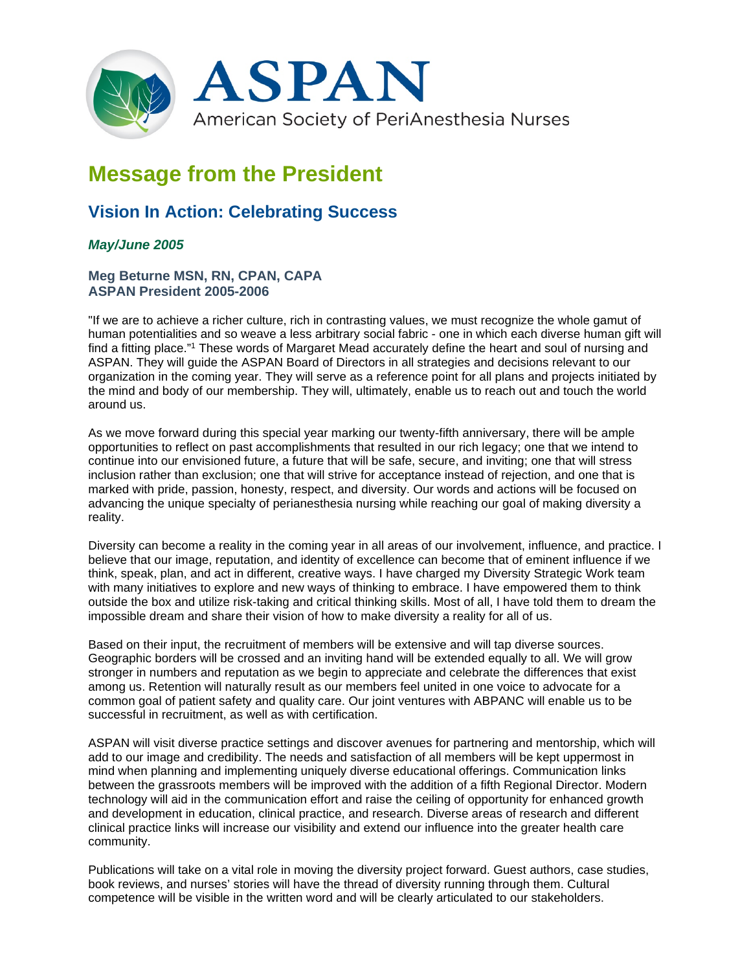

# **Message from the President**

# **Vision In Action: Celebrating Success**

## *May/June 2005*

### **Meg Beturne MSN, RN, CPAN, CAPA ASPAN President 2005-2006**

"If we are to achieve a richer culture, rich in contrasting values, we must recognize the whole gamut of human potentialities and so weave a less arbitrary social fabric - one in which each diverse human gift will find a fitting place."<sup>1</sup> These words of Margaret Mead accurately define the heart and soul of nursing and ASPAN. They will guide the ASPAN Board of Directors in all strategies and decisions relevant to our organization in the coming year. They will serve as a reference point for all plans and projects initiated by the mind and body of our membership. They will, ultimately, enable us to reach out and touch the world around us.

As we move forward during this special year marking our twenty-fifth anniversary, there will be ample opportunities to reflect on past accomplishments that resulted in our rich legacy; one that we intend to continue into our envisioned future, a future that will be safe, secure, and inviting; one that will stress inclusion rather than exclusion; one that will strive for acceptance instead of rejection, and one that is marked with pride, passion, honesty, respect, and diversity. Our words and actions will be focused on advancing the unique specialty of perianesthesia nursing while reaching our goal of making diversity a reality.

Diversity can become a reality in the coming year in all areas of our involvement, influence, and practice. I believe that our image, reputation, and identity of excellence can become that of eminent influence if we think, speak, plan, and act in different, creative ways. I have charged my Diversity Strategic Work team with many initiatives to explore and new ways of thinking to embrace. I have empowered them to think outside the box and utilize risk-taking and critical thinking skills. Most of all, I have told them to dream the impossible dream and share their vision of how to make diversity a reality for all of us.

Based on their input, the recruitment of members will be extensive and will tap diverse sources. Geographic borders will be crossed and an inviting hand will be extended equally to all. We will grow stronger in numbers and reputation as we begin to appreciate and celebrate the differences that exist among us. Retention will naturally result as our members feel united in one voice to advocate for a common goal of patient safety and quality care. Our joint ventures with ABPANC will enable us to be successful in recruitment, as well as with certification.

ASPAN will visit diverse practice settings and discover avenues for partnering and mentorship, which will add to our image and credibility. The needs and satisfaction of all members will be kept uppermost in mind when planning and implementing uniquely diverse educational offerings. Communication links between the grassroots members will be improved with the addition of a fifth Regional Director. Modern technology will aid in the communication effort and raise the ceiling of opportunity for enhanced growth and development in education, clinical practice, and research. Diverse areas of research and different clinical practice links will increase our visibility and extend our influence into the greater health care community.

Publications will take on a vital role in moving the diversity project forward. Guest authors, case studies, book reviews, and nurses' stories will have the thread of diversity running through them. Cultural competence will be visible in the written word and will be clearly articulated to our stakeholders.